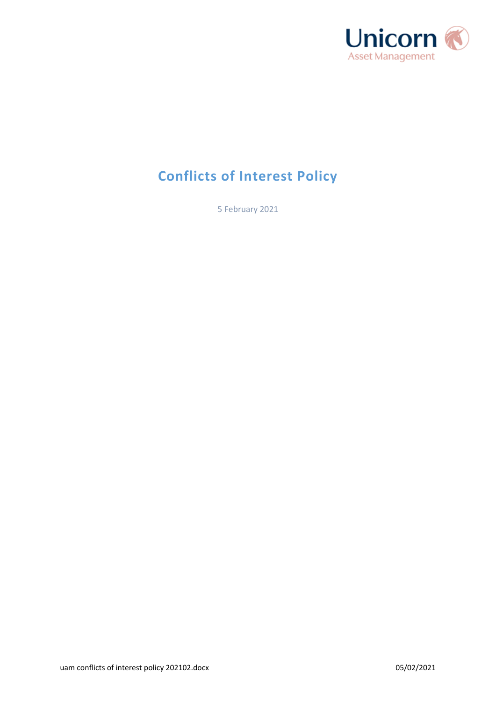

# **Conflicts of Interest Policy**

5 February 2021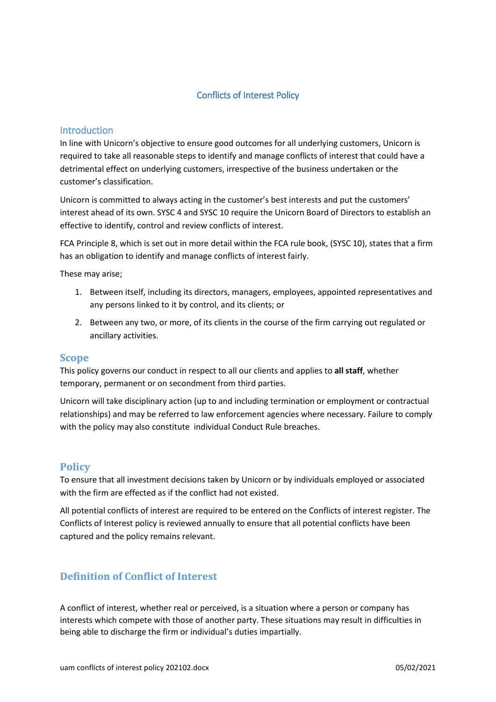#### Conflicts of Interest Policy

#### **Introduction**

In line with Unicorn's objective to ensure good outcomes for all underlying customers, Unicorn is required to take all reasonable steps to identify and manage conflicts of interest that could have a detrimental effect on underlying customers, irrespective of the business undertaken or the customer's classification.

Unicorn is committed to always acting in the customer's best interests and put the customers' interest ahead of its own. SYSC 4 and SYSC 10 require the Unicorn Board of Directors to establish an effective to identify, control and review conflicts of interest.

FCA Principle 8, which is set out in more detail within the FCA rule book, (SYSC 10), states that a firm has an obligation to identify and manage conflicts of interest fairly.

These may arise;

- 1. Between itself, including its directors, managers, employees, appointed representatives and any persons linked to it by control, and its clients; or
- 2. Between any two, or more, of its clients in the course of the firm carrying out regulated or ancillary activities.

#### **Scope**

This policy governs our conduct in respect to all our clients and applies to **all staff**, whether temporary, permanent or on secondment from third parties.

Unicorn will take disciplinary action (up to and including termination or employment or contractual relationships) and may be referred to law enforcement agencies where necessary. Failure to comply with the policy may also constitute individual Conduct Rule breaches.

#### **Policy**

To ensure that all investment decisions taken by Unicorn or by individuals employed or associated with the firm are effected as if the conflict had not existed.

All potential conflicts of interest are required to be entered on the Conflicts of interest register. The Conflicts of Interest policy is reviewed annually to ensure that all potential conflicts have been captured and the policy remains relevant.

### **Definition of Conflict of Interest**

A conflict of interest, whether real or perceived, is a situation where a person or company has interests which compete with those of another party. These situations may result in difficulties in being able to discharge the firm or individual's duties impartially.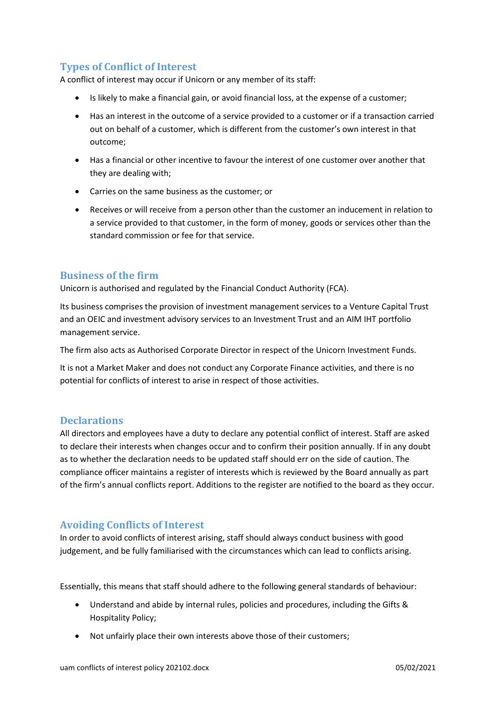# **Types of Conflict of Interest**

A conflict of interest may occur if Unicorn or any member of its staff:

- Is likely to make a financial gain, or avoid financial loss, at the expense of a customer;
- Has an interest in the outcome of a service provided to a customer or if a transaction carried out on behalf of a customer, which is different from the customer's own interest in that outcome;
- Has a financial or other incentive to favour the interest of one customer over another that they are dealing with;
- Carries on the same business as the customer; or
- Receives or will receive from a person other than the customer an inducement in relation to a service provided to that customer, in the form of money, goods or services other than the standard commission or fee for that service.

### **Business of the firm**

Unicorn is authorised and regulated by the Financial Conduct Authority (FCA).

Its business comprises the provision of investment management services to a Venture Capital Trust and an OEIC and investment advisory services to an Investment Trust and an AIM IHT portfolio management service.

The firm also acts as Authorised Corporate Director in respect of the Unicorn Investment Funds.

It is not a Market Maker and does not conduct any Corporate Finance activities, and there is no potential for conflicts of interest to arise in respect of those activities.

### **Declarations**

All directors and employees have a duty to declare any potential conflict of interest. Staff are asked to declare their interests when changes occur and to confirm their position annually. If in any doubt as to whether the declaration needs to be updated staff should err on the side of caution. The compliance officer maintains a register of interests which is reviewed by the Board annually as part of the firm's annual conflicts report. Additions to the register are notified to the board as they occur.

### **Avoiding Conflicts of Interest**

In order to avoid conflicts of interest arising, staff should always conduct business with good judgement, and be fully familiarised with the circumstances which can lead to conflicts arising.

Essentially, this means that staff should adhere to the following general standards of behaviour:

- Understand and abide by internal rules, policies and procedures, including the Gifts & Hospitality Policy;
- Not unfairly place their own interests above those of their customers;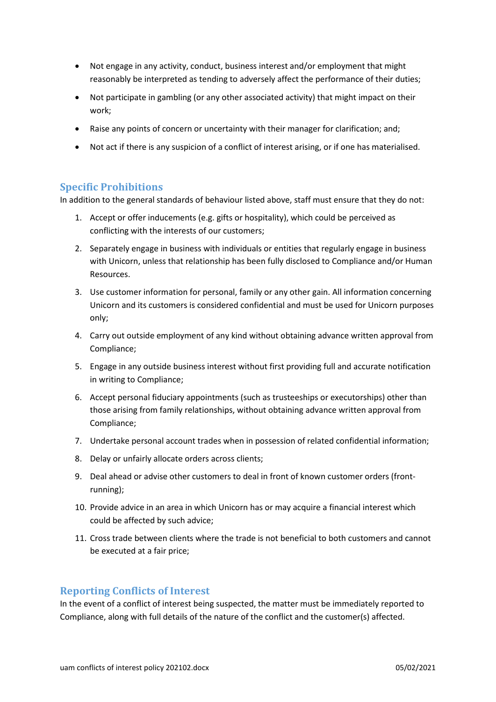- Not engage in any activity, conduct, business interest and/or employment that might reasonably be interpreted as tending to adversely affect the performance of their duties;
- Not participate in gambling (or any other associated activity) that might impact on their work;
- Raise any points of concern or uncertainty with their manager for clarification; and;
- Not act if there is any suspicion of a conflict of interest arising, or if one has materialised.

#### **Specific Prohibitions**

In addition to the general standards of behaviour listed above, staff must ensure that they do not:

- 1. Accept or offer inducements (e.g. gifts or hospitality), which could be perceived as conflicting with the interests of our customers;
- 2. Separately engage in business with individuals or entities that regularly engage in business with Unicorn, unless that relationship has been fully disclosed to Compliance and/or Human Resources.
- 3. Use customer information for personal, family or any other gain. All information concerning Unicorn and its customers is considered confidential and must be used for Unicorn purposes only;
- 4. Carry out outside employment of any kind without obtaining advance written approval from Compliance;
- 5. Engage in any outside business interest without first providing full and accurate notification in writing to Compliance;
- 6. Accept personal fiduciary appointments (such as trusteeships or executorships) other than those arising from family relationships, without obtaining advance written approval from Compliance;
- 7. Undertake personal account trades when in possession of related confidential information;
- 8. Delay or unfairly allocate orders across clients;
- 9. Deal ahead or advise other customers to deal in front of known customer orders (frontrunning);
- 10. Provide advice in an area in which Unicorn has or may acquire a financial interest which could be affected by such advice;
- 11. Cross trade between clients where the trade is not beneficial to both customers and cannot be executed at a fair price;

#### **Reporting Conflicts of Interest**

In the event of a conflict of interest being suspected, the matter must be immediately reported to Compliance, along with full details of the nature of the conflict and the customer(s) affected.